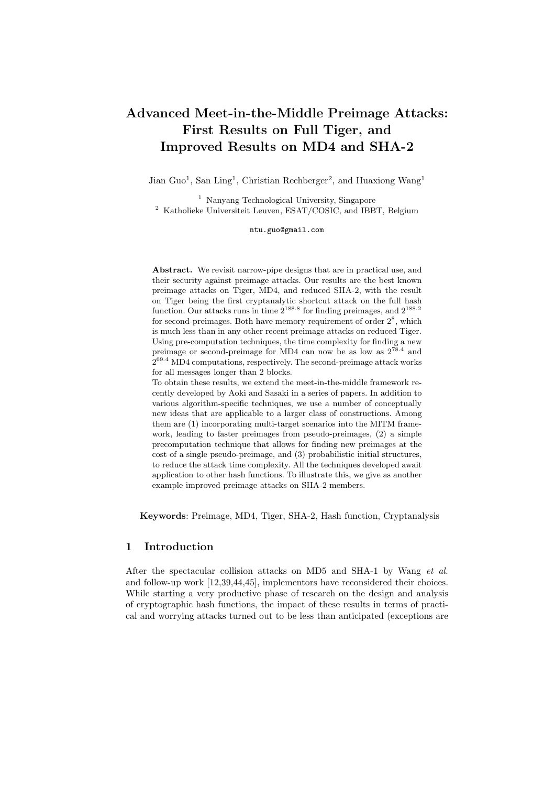# Advanced Meet-in-the-Middle Preimage Attacks: First Results on Full Tiger, and Improved Results on MD4 and SHA-2

Jian Guo<sup>1</sup>, San Ling<sup>1</sup>, Christian Rechberger<sup>2</sup>, and Huaxiong Wang<sup>1</sup>

<sup>1</sup> Nanyang Technological University, Singapore <sup>2</sup> Katholieke Universiteit Leuven, ESAT/COSIC, and IBBT, Belgium

ntu.guo@gmail.com

Abstract. We revisit narrow-pipe designs that are in practical use, and their security against preimage attacks. Our results are the best known preimage attacks on Tiger, MD4, and reduced SHA-2, with the result on Tiger being the first cryptanalytic shortcut attack on the full hash function. Our attacks runs in time  $2^{188.8}$  for finding preimages, and  $2^{188.2}$ for second-preimages. Both have memory requirement of order  $2^8$ , which is much less than in any other recent preimage attacks on reduced Tiger. Using pre-computation techniques, the time complexity for finding a new preimage or second-preimage for MD4 can now be as low as  $2^{78.4}$  and  $2^{69.4}$  MD4 computations, respectively. The second-preimage attack works for all messages longer than 2 blocks.

To obtain these results, we extend the meet-in-the-middle framework recently developed by Aoki and Sasaki in a series of papers. In addition to various algorithm-specific techniques, we use a number of conceptually new ideas that are applicable to a larger class of constructions. Among them are (1) incorporating multi-target scenarios into the MITM framework, leading to faster preimages from pseudo-preimages, (2) a simple precomputation technique that allows for finding new preimages at the cost of a single pseudo-preimage, and (3) probabilistic initial structures, to reduce the attack time complexity. All the techniques developed await application to other hash functions. To illustrate this, we give as another example improved preimage attacks on SHA-2 members.

Keywords: Preimage, MD4, Tiger, SHA-2, Hash function, Cryptanalysis

# 1 Introduction

After the spectacular collision attacks on MD5 and SHA-1 by Wang et al. and follow-up work [12,39,44,45], implementors have reconsidered their choices. While starting a very productive phase of research on the design and analysis of cryptographic hash functions, the impact of these results in terms of practical and worrying attacks turned out to be less than anticipated (exceptions are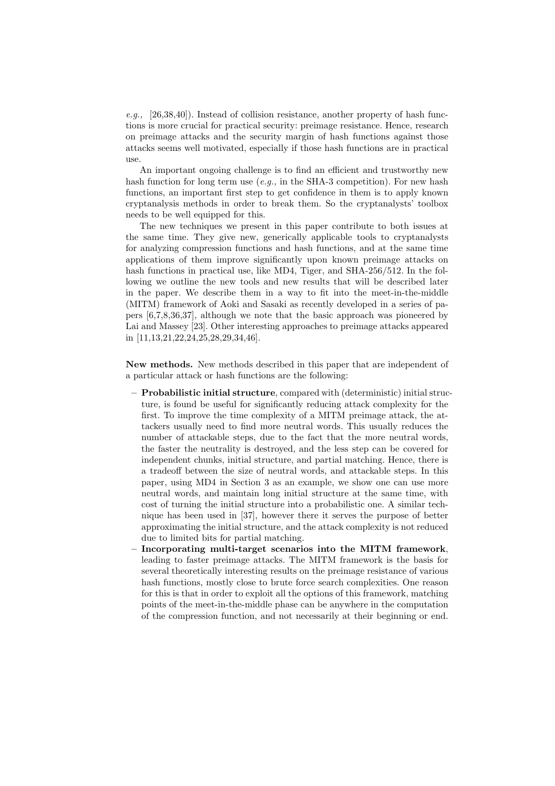e.g., [26,38,40]). Instead of collision resistance, another property of hash functions is more crucial for practical security: preimage resistance. Hence, research on preimage attacks and the security margin of hash functions against those attacks seems well motivated, especially if those hash functions are in practical use.

An important ongoing challenge is to find an efficient and trustworthy new hash function for long term use  $(e.g.,$  in the SHA-3 competition). For new hash functions, an important first step to get confidence in them is to apply known cryptanalysis methods in order to break them. So the cryptanalysts' toolbox needs to be well equipped for this.

The new techniques we present in this paper contribute to both issues at the same time. They give new, generically applicable tools to cryptanalysts for analyzing compression functions and hash functions, and at the same time applications of them improve significantly upon known preimage attacks on hash functions in practical use, like MD4, Tiger, and SHA-256/512. In the following we outline the new tools and new results that will be described later in the paper. We describe them in a way to fit into the meet-in-the-middle (MITM) framework of Aoki and Sasaki as recently developed in a series of papers [6,7,8,36,37], although we note that the basic approach was pioneered by Lai and Massey [23]. Other interesting approaches to preimage attacks appeared in [11,13,21,22,24,25,28,29,34,46].

New methods. New methods described in this paper that are independent of a particular attack or hash functions are the following:

- Probabilistic initial structure, compared with (deterministic) initial structure, is found be useful for significantly reducing attack complexity for the first. To improve the time complexity of a MITM preimage attack, the attackers usually need to find more neutral words. This usually reduces the number of attackable steps, due to the fact that the more neutral words, the faster the neutrality is destroyed, and the less step can be covered for independent chunks, initial structure, and partial matching. Hence, there is a tradeoff between the size of neutral words, and attackable steps. In this paper, using MD4 in Section 3 as an example, we show one can use more neutral words, and maintain long initial structure at the same time, with cost of turning the initial structure into a probabilistic one. A similar technique has been used in [37], however there it serves the purpose of better approximating the initial structure, and the attack complexity is not reduced due to limited bits for partial matching.
- Incorporating multi-target scenarios into the MITM framework, leading to faster preimage attacks. The MITM framework is the basis for several theoretically interesting results on the preimage resistance of various hash functions, mostly close to brute force search complexities. One reason for this is that in order to exploit all the options of this framework, matching points of the meet-in-the-middle phase can be anywhere in the computation of the compression function, and not necessarily at their beginning or end.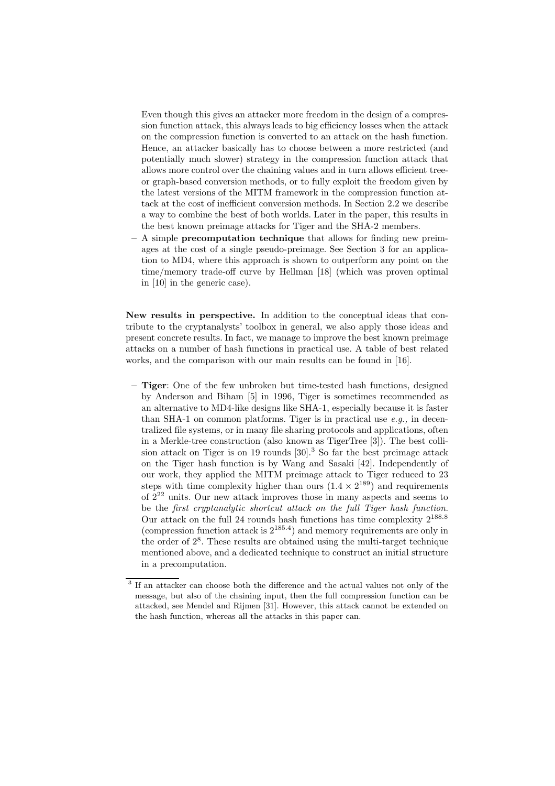Even though this gives an attacker more freedom in the design of a compression function attack, this always leads to big efficiency losses when the attack on the compression function is converted to an attack on the hash function. Hence, an attacker basically has to choose between a more restricted (and potentially much slower) strategy in the compression function attack that allows more control over the chaining values and in turn allows efficient treeor graph-based conversion methods, or to fully exploit the freedom given by the latest versions of the MITM framework in the compression function attack at the cost of inefficient conversion methods. In Section 2.2 we describe a way to combine the best of both worlds. Later in the paper, this results in the best known preimage attacks for Tiger and the SHA-2 members.

 $- A$  simple **precomputation technique** that allows for finding new preimages at the cost of a single pseudo-preimage. See Section 3 for an application to MD4, where this approach is shown to outperform any point on the time/memory trade-off curve by Hellman [18] (which was proven optimal in [10] in the generic case).

New results in perspective. In addition to the conceptual ideas that contribute to the cryptanalysts' toolbox in general, we also apply those ideas and present concrete results. In fact, we manage to improve the best known preimage attacks on a number of hash functions in practical use. A table of best related works, and the comparison with our main results can be found in [16].

– Tiger: One of the few unbroken but time-tested hash functions, designed by Anderson and Biham [5] in 1996, Tiger is sometimes recommended as an alternative to MD4-like designs like SHA-1, especially because it is faster than SHA-1 on common platforms. Tiger is in practical use  $e.g.,$  in decentralized file systems, or in many file sharing protocols and applications, often in a Merkle-tree construction (also known as TigerTree [3]). The best collision attack on Tiger is on 19 rounds  $[30]$ <sup>3</sup> So far the best preimage attack on the Tiger hash function is by Wang and Sasaki [42]. Independently of our work, they applied the MITM preimage attack to Tiger reduced to 23 steps with time complexity higher than ours  $(1.4 \times 2^{189})$  and requirements of 2<sup>22</sup> units. Our new attack improves those in many aspects and seems to be the first cryptanalytic shortcut attack on the full Tiger hash function. Our attack on the full 24 rounds hash functions has time complexity  $2^{188.8}$ (compression function attack is  $2^{185.4}$ ) and memory requirements are only in the order of 2<sup>8</sup> . These results are obtained using the multi-target technique mentioned above, and a dedicated technique to construct an initial structure in a precomputation.

<sup>&</sup>lt;sup>3</sup> If an attacker can choose both the difference and the actual values not only of the message, but also of the chaining input, then the full compression function can be attacked, see Mendel and Rijmen [31]. However, this attack cannot be extended on the hash function, whereas all the attacks in this paper can.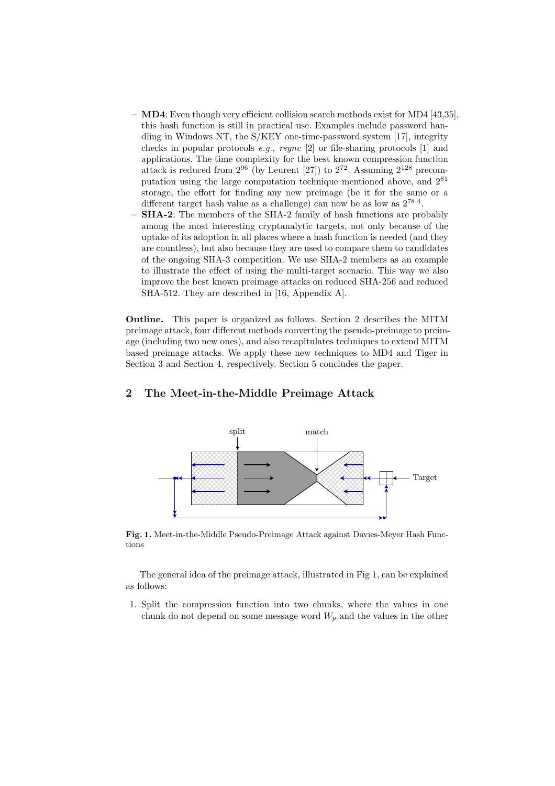- MD4: Even though very efficient collision search methods exist for MD4 [43,35], this hash function is still in practical use. Examples include password handling in Windows NT, the S/KEY one-time-password system [17], integrity checks in popular protocols e.g., rsync [2] or file-sharing protocols [1] and applications. The time complexity for the best known compression function attack is reduced from  $2^{96}$  (by Leurent [27]) to  $2^{72}$ . Assuming  $2^{128}$  precomputation using the large computation technique mentioned above, and 2<sup>81</sup> storage, the effort for finding any new preimage (be it for the same or a different target hash value as a challenge) can now be as low as  $2^{78.4}$ .
- SHA-2: The members of the SHA-2 family of hash functions are probably among the most interesting cryptanalytic targets, not only because of the uptake of its adoption in all places where a hash function is needed (and they are countless), but also because they are used to compare them to candidates of the ongoing SHA-3 competition. We use SHA-2 members as an example to illustrate the effect of using the multi-target scenario. This way we also improve the best known preimage attacks on reduced SHA-256 and reduced SHA-512. They are described in [16, Appendix A].

Outline. This paper is organized as follows. Section 2 describes the MITM preimage attack, four different methods converting the pseudo-preimage to preimage (including two new ones), and also recapitulates techniques to extend MITM based preimage attacks. We apply these new techniques to MD4 and Tiger in Section 3 and Section 4, respectively. Section 5 concludes the paper.



# 2 The Meet-in-the-Middle Preimage Attack

Fig. 1. Meet-in-the-Middle Pseudo-Preimage Attack against Davies-Meyer Hash Functions

The general idea of the preimage attack, illustrated in Fig 1, can be explained as follows:

1. Split the compression function into two chunks, where the values in one chunk do not depend on some message word  $W_p$  and the values in the other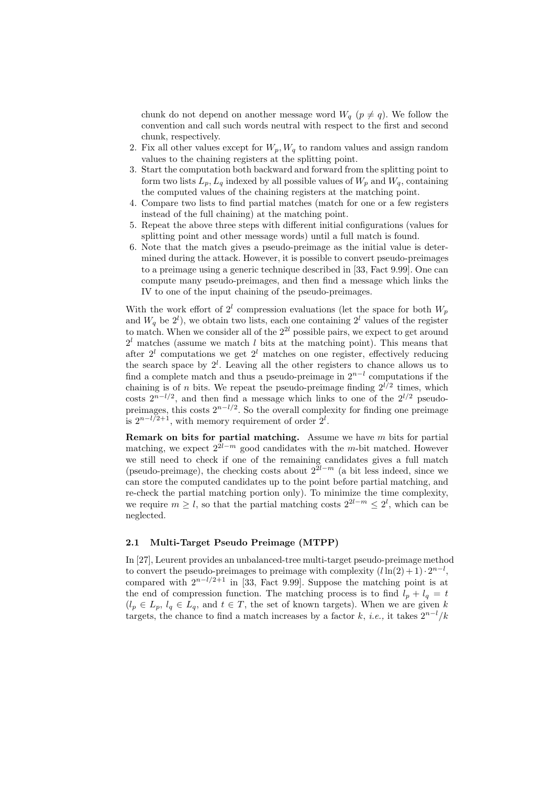chunk do not depend on another message word  $W_q$  ( $p \neq q$ ). We follow the convention and call such words neutral with respect to the first and second chunk, respectively.

- 2. Fix all other values except for  $W_p$ ,  $W_q$  to random values and assign random values to the chaining registers at the splitting point.
- 3. Start the computation both backward and forward from the splitting point to form two lists  $L_p$ ,  $L_q$  indexed by all possible values of  $W_p$  and  $W_q$ , containing the computed values of the chaining registers at the matching point.
- 4. Compare two lists to find partial matches (match for one or a few registers instead of the full chaining) at the matching point.
- 5. Repeat the above three steps with different initial configurations (values for splitting point and other message words) until a full match is found.
- 6. Note that the match gives a pseudo-preimage as the initial value is determined during the attack. However, it is possible to convert pseudo-preimages to a preimage using a generic technique described in [33, Fact 9.99]. One can compute many pseudo-preimages, and then find a message which links the IV to one of the input chaining of the pseudo-preimages.

With the work effort of  $2^l$  compression evaluations (let the space for both  $W_p$ and  $W_q$  be  $2^l$ ), we obtain two lists, each one containing  $2^l$  values of the register to match. When we consider all of the  $2^{2l}$  possible pairs, we expect to get around  $2<sup>l</sup>$  matches (assume we match *l* bits at the matching point). This means that after  $2^l$  computations we get  $2^l$  matches on one register, effectively reducing the search space by  $2^l$ . Leaving all the other registers to chance allows us to find a complete match and thus a pseudo-preimage in  $2^{n-l}$  computations if the chaining is of *n* bits. We repeat the pseudo-preimage finding  $2^{l/2}$  times, which costs  $2^{n-l/2}$ , and then find a message which links to one of the  $2^{l/2}$  pseudopreimages, this costs  $2^{n-l/2}$ . So the overall complexity for finding one preimage is  $2^{n-l/2+1}$ , with memory requirement of order  $2^l$ .

**Remark on bits for partial matching.** Assume we have  $m$  bits for partial matching, we expect  $2^{\overline{2l}-m}$  good candidates with the m-bit matched. However we still need to check if one of the remaining candidates gives a full match (pseudo-preimage), the checking costs about  $2^{\tilde{2}l-m}$  (a bit less indeed, since we can store the computed candidates up to the point before partial matching, and re-check the partial matching portion only). To minimize the time complexity, we require  $m \geq l$ , so that the partial matching costs  $2^{2l-m} \leq 2^l$ , which can be neglected.

#### 2.1 Multi-Target Pseudo Preimage (MTPP)

In [27], Leurent provides an unbalanced-tree multi-target pseudo-preimage method to convert the pseudo-preimages to preimage with complexity  $(l \ln(2) + 1) \cdot 2^{n-l}$ , compared with  $2^{n-l/2+1}$  in [33, Fact 9.99]. Suppose the matching point is at the end of compression function. The matching process is to find  $l_p + l_q = t$  $(l_p \in L_p, l_q \in L_q$ , and  $t \in T$ , the set of known targets). When we are given k targets, the chance to find a match increases by a factor k, *i.e.*, it takes  $2^{n-l}/k$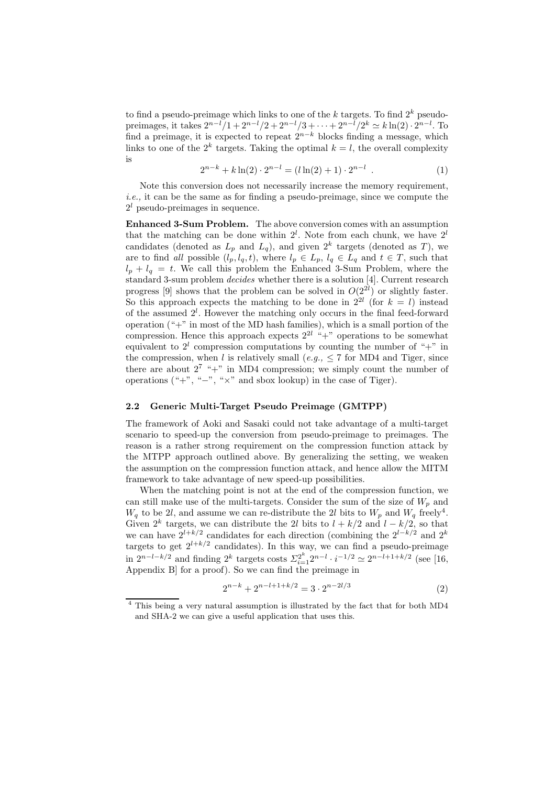to find a pseudo-preimage which links to one of the k targets. To find  $2^k$  pseudopreimages, it takes  $2^{n-l}/1 + 2^{n-l}/2 + 2^{n-l}/3 + \cdots + 2^{n-l}/2^k \simeq k \ln(2) \cdot 2^{n-l}$ . To find a preimage, it is expected to repeat  $2^{n-k}$  blocks finding a message, which links to one of the  $2^k$  targets. Taking the optimal  $k = l$ , the overall complexity is

$$
2^{n-k} + k \ln(2) \cdot 2^{n-l} = (l \ln(2) + 1) \cdot 2^{n-l} \tag{1}
$$

Note this conversion does not necessarily increase the memory requirement, i.e., it can be the same as for finding a pseudo-preimage, since we compute the  $2<sup>l</sup>$  pseudo-preimages in sequence.

Enhanced 3-Sum Problem. The above conversion comes with an assumption that the matching can be done within  $2^l$ . Note from each chunk, we have  $2^l$ candidates (denoted as  $L_p$  and  $L_q$ ), and given  $2^k$  targets (denoted as T), we are to find all possible  $(l_p, l_q, t)$ , where  $l_p \in L_p$ ,  $l_q \in L_q$  and  $t \in T$ , such that  $l_p + l_q = t$ . We call this problem the Enhanced 3-Sum Problem, where the standard 3-sum problem decides whether there is a solution [4]. Current research progress [9] shows that the problem can be solved in  $O(2^{2l})$  or slightly faster. So this approach expects the matching to be done in  $2^{2l}$  (for  $k = l$ ) instead of the assumed  $2^l$ . However the matching only occurs in the final feed-forward operation ("+" in most of the MD hash families), which is a small portion of the compression. Hence this approach expects  $2^{2l}$  "+" operations to be somewhat equivalent to  $2^l$  compression computations by counting the number of "+" in the compression, when l is relatively small (e.g.,  $\leq$  7 for MD4 and Tiger, since there are about  $2^7$  "+" in MD4 compression; we simply count the number of operations  $(*, "-"", "×" and sbox lookup)$  in the case of Tiger).

### 2.2 Generic Multi-Target Pseudo Preimage (GMTPP)

The framework of Aoki and Sasaki could not take advantage of a multi-target scenario to speed-up the conversion from pseudo-preimage to preimages. The reason is a rather strong requirement on the compression function attack by the MTPP approach outlined above. By generalizing the setting, we weaken the assumption on the compression function attack, and hence allow the MITM framework to take advantage of new speed-up possibilities.

When the matching point is not at the end of the compression function, we can still make use of the multi-targets. Consider the sum of the size of  $W_p$  and  $W_q$  to be 2l, and assume we can re-distribute the 2l bits to  $W_p$  and  $W_q$  freely<sup>4</sup>. Given  $2^k$  targets, we can distribute the 2l bits to  $l + k/2$  and  $l - k/2$ , so that we can have  $2^{l+k/2}$  candidates for each direction (combining the  $2^{l-k/2}$  and  $2^k$ targets to get  $2^{l+k/2}$  candidates). In this way, we can find a pseudo-preimage in  $2^{n-l-k/2}$  and finding  $2^k$  targets costs  $\sum_{i=1}^{2^k} 2^{n-l} \cdot i^{-1/2} \simeq 2^{n-l+1+k/2}$  (see [16, Appendix B] for a proof). So we can find the preimage in

$$
2^{n-k} + 2^{n-l+1+k/2} = 3 \cdot 2^{n-2l/3} \tag{2}
$$

<sup>4</sup> This being a very natural assumption is illustrated by the fact that for both MD4 and SHA-2 we can give a useful application that uses this.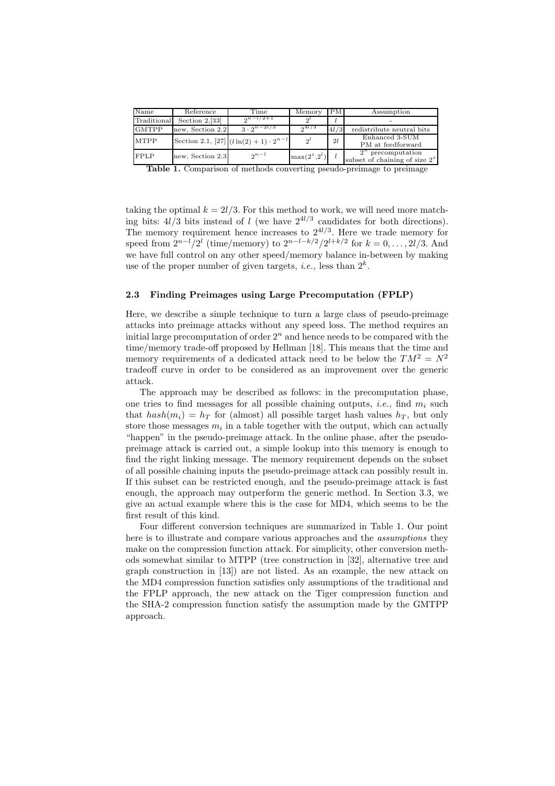| Name         | Reference        | Time                                             | Memory           | PM.  | Assumption                                               |
|--------------|------------------|--------------------------------------------------|------------------|------|----------------------------------------------------------|
| Traditional  | Section $2,[33]$ | $2^{n-l/2+1}$                                    |                  |      |                                                          |
| <b>GMTPP</b> | new. Section 2.2 | 3. $2^{n-2l/3}$                                  | $2^{4l/3}$       | 4l/3 | redistribute neutral bits                                |
| <b>MTPP</b>  |                  | Section 2.1, [27] $(l \ln(2) + 1) \cdot 2^{n-l}$ | $2^l$            | 2l   | Enhanced $3-\overline{SUM}$<br>PM at feedforward         |
| <b>FPLP</b>  | new, Section 2.3 | $2^{n-l}$                                        | $\max(2^z, 2^l)$ |      | $2^n$ precomputation<br>subset of chaining of size $2^z$ |

Table 1. Comparison of methods converting pseudo-preimage to preimage

taking the optimal  $k = 2l/3$ . For this method to work, we will need more matching bits:  $4l/3$  bits instead of l (we have  $2^{4l/3}$  candidates for both directions). The memory requirement hence increases to  $2^{4l/3}$ . Here we trade memory for speed from  $2^{n-l}/2^l$  (time/memory) to  $2^{n-l-k/2}/2^{l+k/2}$  for  $k=0,\ldots,2l/3$ . And we have full control on any other speed/memory balance in-between by making use of the proper number of given targets, *i.e.*, less than  $2^k$ .

#### 2.3 Finding Preimages using Large Precomputation (FPLP)

Here, we describe a simple technique to turn a large class of pseudo-preimage attacks into preimage attacks without any speed loss. The method requires an initial large precomputation of order  $2<sup>n</sup>$  and hence needs to be compared with the time/memory trade-off proposed by Hellman [18]. This means that the time and memory requirements of a dedicated attack need to be below the  $TM^2 = N^2$ tradeoff curve in order to be considered as an improvement over the generic attack.

The approach may be described as follows: in the precomputation phase, one tries to find messages for all possible chaining outputs, *i.e.*, find  $m_i$  such that  $hash(m_i) = h_T$  for (almost) all possible target hash values  $h_T$ , but only store those messages  $m_i$  in a table together with the output, which can actually "happen" in the pseudo-preimage attack. In the online phase, after the pseudopreimage attack is carried out, a simple lookup into this memory is enough to find the right linking message. The memory requirement depends on the subset of all possible chaining inputs the pseudo-preimage attack can possibly result in. If this subset can be restricted enough, and the pseudo-preimage attack is fast enough, the approach may outperform the generic method. In Section 3.3, we give an actual example where this is the case for MD4, which seems to be the first result of this kind.

Four different conversion techniques are summarized in Table 1. Our point here is to illustrate and compare various approaches and the assumptions they make on the compression function attack. For simplicity, other conversion methods somewhat similar to MTPP (tree construction in [32], alternative tree and graph construction in [13]) are not listed. As an example, the new attack on the MD4 compression function satisfies only assumptions of the traditional and the FPLP approach, the new attack on the Tiger compression function and the SHA-2 compression function satisfy the assumption made by the GMTPP approach.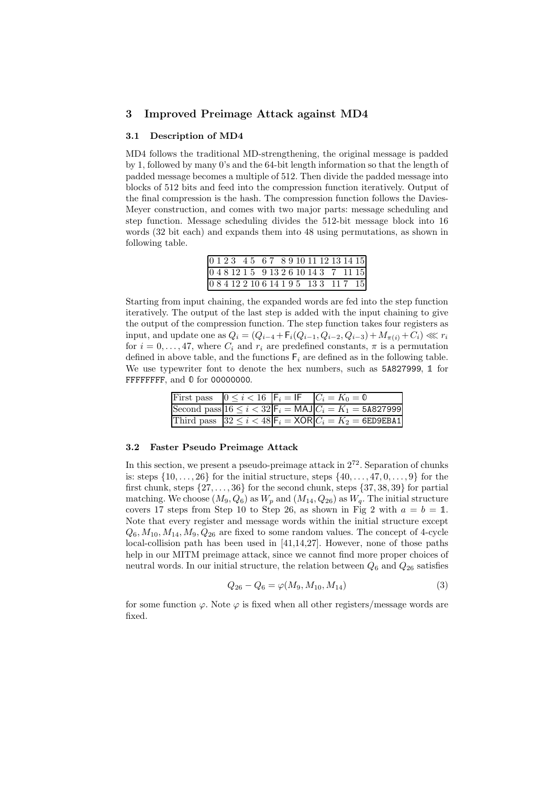## 3 Improved Preimage Attack against MD4

#### 3.1 Description of MD4

MD4 follows the traditional MD-strengthening, the original message is padded by 1, followed by many 0's and the 64-bit length information so that the length of padded message becomes a multiple of 512. Then divide the padded message into blocks of 512 bits and feed into the compression function iteratively. Output of the final compression is the hash. The compression function follows the Davies-Meyer construction, and comes with two major parts: message scheduling and step function. Message scheduling divides the 512-bit message block into 16 words (32 bit each) and expands them into 48 using permutations, as shown in following table.

| $0123$ 45 67 89101112131415           |  |  |  |  |  |  |  |
|---------------------------------------|--|--|--|--|--|--|--|
| 0481215913261014371115                |  |  |  |  |  |  |  |
| 0 8 4 12 2 10 6 14 1 9 5 13 3 11 7 15 |  |  |  |  |  |  |  |

Starting from input chaining, the expanded words are fed into the step function iteratively. The output of the last step is added with the input chaining to give the output of the compression function. The step function takes four registers as input, and update one as  $Q_i = (Q_{i-4} + F_i(Q_{i-1}, Q_{i-2}, Q_{i-3}) + M_{\pi(i)} + C_i) \ll r_i$ for  $i = 0, \ldots, 47$ , where  $C_i$  and  $r_i$  are predefined constants,  $\pi$  is a permutation defined in above table, and the functions  $F_i$  are defined as in the following table. We use typewriter font to denote the hex numbers, such as  $5A827999$ , 1 for FFFFFFFFF, and  $\theta$  for 00000000.

|  | First pass $0 \leq i < 16$ $ F_i  =  F $ $ C_i  = K_0 = \emptyset$                |
|--|-----------------------------------------------------------------------------------|
|  | Second pass $16 \le i < 32$ $\mathsf{F}_i = \mathsf{MAJ}$ $C_i = K_1 = 5.6827999$ |
|  | Third pass $ 32 \leq i < 48$ $ F_i = XOR C_i = K_2 = 6E$ D9EBA1                   |

#### 3.2 Faster Pseudo Preimage Attack

In this section, we present a pseudo-preimage attack in  $2^{72}$ . Separation of chunks is: steps  $\{10, \ldots, 26\}$  for the initial structure, steps  $\{40, \ldots, 47, 0, \ldots, 9\}$  for the first chunk, steps  $\{27, \ldots, 36\}$  for the second chunk, steps  $\{37, 38, 39\}$  for partial matching. We choose  $(M_9, Q_6)$  as  $W_p$  and  $(M_{14}, Q_{26})$  as  $W_q$ . The initial structure covers 17 steps from Step 10 to Step 26, as shown in Fig 2 with  $a = b = 1$ . Note that every register and message words within the initial structure except  $Q_6$ ,  $M_{10}$ ,  $M_{14}$ ,  $M_9$ ,  $Q_{26}$  are fixed to some random values. The concept of 4-cycle local-collision path has been used in [41,14,27]. However, none of those paths help in our MITM preimage attack, since we cannot find more proper choices of neutral words. In our initial structure, the relation between  $Q_6$  and  $Q_{26}$  satisfies

$$
Q_{26} - Q_6 = \varphi(M_9, M_{10}, M_{14})
$$
\n(3)

for some function  $\varphi$ . Note  $\varphi$  is fixed when all other registers/message words are fixed.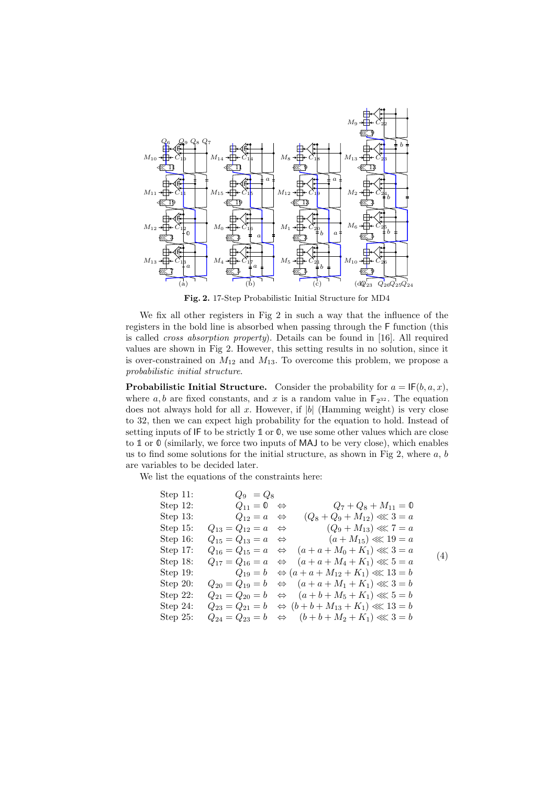

Fig. 2. 17-Step Probabilistic Initial Structure for MD4

We fix all other registers in Fig 2 in such a way that the influence of the registers in the bold line is absorbed when passing through the F function (this is called cross absorption property). Details can be found in [16]. All required values are shown in Fig 2. However, this setting results in no solution, since it is over-constrained on  $M_{12}$  and  $M_{13}$ . To overcome this problem, we propose a probabilistic initial structure.

**Probabilistic Initial Structure.** Consider the probability for  $a = \mathsf{IF}(b, a, x)$ , where  $a, b$  are fixed constants, and x is a random value in  $\mathbb{F}_{2^{32}}$ . The equation does not always hold for all x. However, if  $|b|$  (Hamming weight) is very close to 32, then we can expect high probability for the equation to hold. Instead of setting inputs of IF to be strictly  $\mathbb{1}$  or  $\mathbb{0}$ , we use some other values which are close to  $\mathbb 1$  or  $\mathbb 0$  (similarly, we force two inputs of MAJ to be very close), which enables us to find some solutions for the initial structure, as shown in Fig 2, where  $a, b$ are variables to be decided later.

We list the equations of the constraints here:

Step 11: 
$$
Q_9 = Q_8
$$
  
\nStep 12:  $Q_{11} = 0 \Leftrightarrow Q_7 + Q_8 + M_{11} = 0$   
\nStep 13:  $Q_{12} = a \Leftrightarrow (Q_8 + Q_9 + M_{12}) \ll 3 = a$   
\nStep 15:  $Q_{13} = Q_{12} = a \Leftrightarrow (Q_9 + M_{13}) \ll 7 = a$   
\nStep 16:  $Q_{15} = Q_{13} = a \Leftrightarrow (a + M_{15}) \ll 19 = a$   
\nStep 17:  $Q_{16} = Q_{15} = a \Leftrightarrow (a + a + M_0 + K_1) \ll 3 = a$   
\nStep 18:  $Q_{17} = Q_{16} = a \Leftrightarrow (a + a + M_4 + K_1) \ll 5 = a$   
\nStep 19:  $Q_{19} = b \Leftrightarrow (a + a + M_{12} + K_1) \ll 13 = b$   
\nStep 20:  $Q_{20} = Q_{19} = b \Leftrightarrow (a + a + M_1 + K_1) \ll 3 = b$   
\nStep 22:  $Q_{21} = Q_{20} = b \Leftrightarrow (a + b + M_5 + K_1) \ll 5 = b$   
\nStep 24:  $Q_{23} = Q_{21} = b \Leftrightarrow (b + b + M_{13} + K_1) \ll 13 = b$   
\nStep 25:  $Q_{24} = Q_{23} = b \Leftrightarrow (b + b + M_2 + K_1) \ll 3 = b$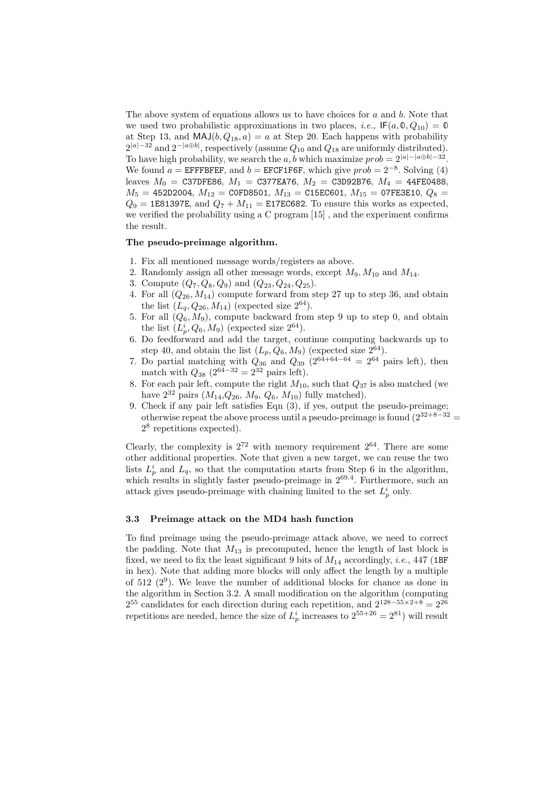The above system of equations allows us to have choices for  $a$  and  $b$ . Note that we used two probabilistic approximations in two places, *i.e.*,  $\mathsf{IF}(a, \mathbb{0}, Q_{10}) = \mathbb{0}$ at Step 13, and  $\text{MAJ}(b, Q_{18}, a) = a$  at Step 20. Each happens with probability  $2^{|a|-32}$  and  $2^{-|a\oplus b|}$ , respectively (assume  $Q_{10}$  and  $Q_{18}$  are uniformly distributed). To have high probability, we search the a, b which maximize  $prob = 2^{|a|-|a \oplus b|-32}$ . We found  $a =$  EFFFBFEF, and  $b =$  EFCF1F6F, which give  $prob = 2^{-8}$ . Solving (4) leaves  $M_0 =$  C37DFE86,  $M_1 =$  C377EA76,  $M_2 =$  C3D92B76,  $M_4 =$  44FE0488,  $M_5 = 452D2004, M_{12} = \text{COFD8501}, M_{13} = \text{C15EC601}, M_{15} = \text{07FE3E10}, Q_8 =$  $Q_9 = 1$ E81397E, and  $Q_7 + M_{11} = 151$  E17EC682. To ensure this works as expected, we verified the probability using a C program [15] , and the experiment confirms the result.

#### The pseudo-preimage algorithm.

- 1. Fix all mentioned message words/registers as above.
- 2. Randomly assign all other message words, except  $M_9, M_{10}$  and  $M_{14}$ .
- 3. Compute  $(Q_7, Q_8, Q_9)$  and  $(Q_{23}, Q_{24}, Q_{25})$ .
- 4. For all  $(Q_{26}, M_{14})$  compute forward from step 27 up to step 36, and obtain the list  $(L_q, Q_{26}, M_{14})$  (expected size  $2^{64}$ ).
- 5. For all  $(Q_6, M_9)$ , compute backward from step 9 up to step 0, and obtain the list  $(L_p^i, Q_6, M_9)$  (expected size  $2^{64}$ ).
- 6. Do feedforward and add the target, continue computing backwards up to step 40, and obtain the list  $(L_p, Q_6, M_9)$  (expected size  $2^{64}$ ).
- 7. Do partial matching with  $Q_{36}$  and  $Q_{39}$  ( $2^{64+64-64} = 2^{64}$  pairs left), then match with  $Q_{38}$  (2<sup>64-32</sup> = 2<sup>32</sup> pairs left).
- 8. For each pair left, compute the right  $M_{10}$ , such that  $Q_{37}$  is also matched (we have  $2^{32}$  pairs  $(M_{14}, Q_{26}, M_9, Q_6, M_{10})$  fully matched).
- 9. Check if any pair left satisfies Eqn (3), if yes, output the pseudo-preimage; otherwise repeat the above process until a pseudo-preimage is found  $(2^{32+8-32}$ 2 8 repetitions expected).

Clearly, the complexity is  $2^{72}$  with memory requirement  $2^{64}$ . There are some other additional properties. Note that given a new target, we can reuse the two lists  $L_p^i$  and  $L_q$ , so that the computation starts from Step 6 in the algorithm, which results in slightly faster pseudo-preimage in  $2^{69.4}$ . Furthermore, such an attack gives pseudo-preimage with chaining limited to the set  $L_p^i$  only.

#### 3.3 Preimage attack on the MD4 hash function

To find preimage using the pseudo-preimage attack above, we need to correct the padding. Note that  $M_{13}$  is precomputed, hence the length of last block is fixed, we need to fix the least significant 9 bits of  $M_{14}$  accordingly, *i.e.*, 447 (1BF) in hex). Note that adding more blocks will only affect the length by a multiple of  $512$   $(2^9)$ . We leave the number of additional blocks for chance as done in the algorithm in Section 3.2. A small modification on the algorithm (computing  $2^{55}$  candidates for each direction during each repetition, and  $2^{128-55\times2+8} = 2^{26}$ repetitions are needed, hence the size of  $L_p^i$  increases to  $2^{55+26} = 2^{81}$ ) will result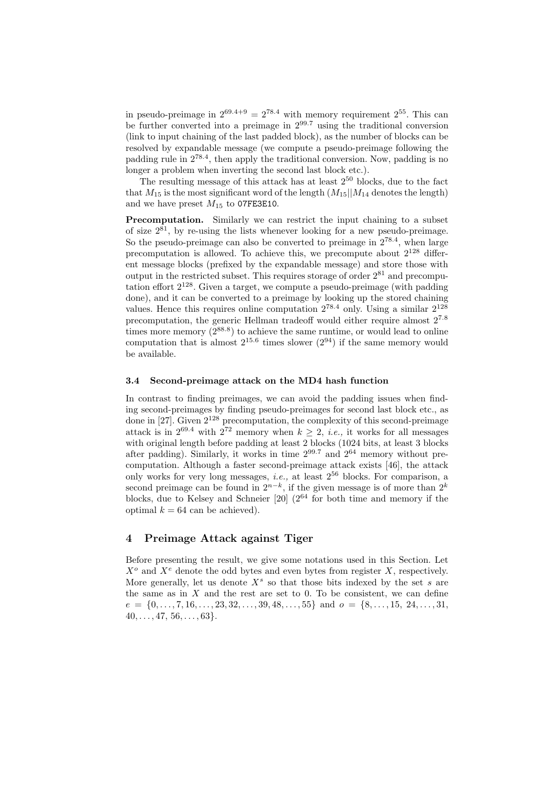in pseudo-preimage in  $2^{69.4+9} = 2^{78.4}$  with memory requirement  $2^{55}$ . This can be further converted into a preimage in  $2^{99.7}$  using the traditional conversion (link to input chaining of the last padded block), as the number of blocks can be resolved by expandable message (we compute a pseudo-preimage following the padding rule in 278.<sup>4</sup> , then apply the traditional conversion. Now, padding is no longer a problem when inverting the second last block etc.).

The resulting message of this attack has at least  $2^{50}$  blocks, due to the fact that  $M_{15}$  is the most significant word of the length  $(M_{15}||M_{14}$  denotes the length) and we have preset  $M_{15}$  to 07FE3E10.

Precomputation. Similarly we can restrict the input chaining to a subset of size  $2^{81}$ , by re-using the lists whenever looking for a new pseudo-preimage. So the pseudo-preimage can also be converted to preimage in  $2^{78.4}$ , when large precomputation is allowed. To achieve this, we precompute about  $2^{128}$  different message blocks (prefixed by the expandable message) and store those with output in the restricted subset. This requires storage of order  $2^{81}$  and precomputation effort  $2^{128}$ . Given a target, we compute a pseudo-preimage (with padding done), and it can be converted to a preimage by looking up the stored chaining values. Hence this requires online computation  $2^{78.4}$  only. Using a similar  $2^{128}$ precomputation, the generic Hellman tradeoff would either require almost 2<sup>7</sup>.<sup>8</sup> times more memory  $(2^{88.8})$  to achieve the same runtime, or would lead to online computation that is almost  $2^{15.6}$  times slower  $(2^{94})$  if the same memory would be available.

#### 3.4 Second-preimage attack on the MD4 hash function

In contrast to finding preimages, we can avoid the padding issues when finding second-preimages by finding pseudo-preimages for second last block etc., as done in  $[27]$ . Given  $2^{128}$  precomputation, the complexity of this second-preimage attack is in  $2^{69.4}$  with  $2^{72}$  memory when  $k > 2$ , *i.e.*, it works for all messages with original length before padding at least 2 blocks (1024 bits, at least 3 blocks after padding). Similarly, it works in time  $2^{99.7}$  and  $2^{64}$  memory without precomputation. Although a faster second-preimage attack exists [46], the attack only works for very long messages, i.e., at least 2<sup>56</sup> blocks. For comparison, a second preimage can be found in  $2^{n-k}$ , if the given message is of more than  $2^k$ blocks, due to Kelsey and Schneier  $[20]$  ( $2^{64}$  for both time and memory if the optimal  $k = 64$  can be achieved).

# 4 Preimage Attack against Tiger

Before presenting the result, we give some notations used in this Section. Let  $X^o$  and  $X^e$  denote the odd bytes and even bytes from register X, respectively. More generally, let us denote  $X^s$  so that those bits indexed by the set s are the same as in  $X$  and the rest are set to 0. To be consistent, we can define  $e = \{0, \ldots, 7, 16, \ldots, 23, 32, \ldots, 39, 48, \ldots, 55\}$  and  $o = \{8, \ldots, 15, 24, \ldots, 31, \ldots, 55\}$  $40, \ldots, 47, 56, \ldots, 63$ .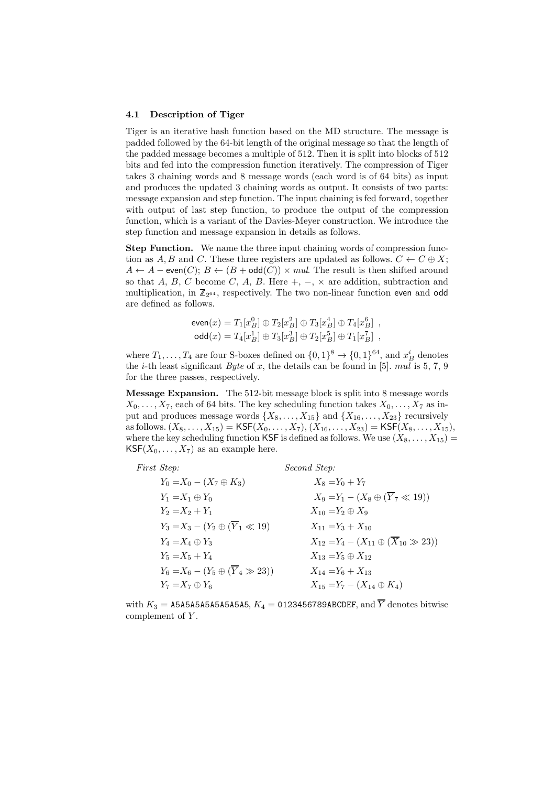#### 4.1 Description of Tiger

Tiger is an iterative hash function based on the MD structure. The message is padded followed by the 64-bit length of the original message so that the length of the padded message becomes a multiple of 512. Then it is split into blocks of 512 bits and fed into the compression function iteratively. The compression of Tiger takes 3 chaining words and 8 message words (each word is of 64 bits) as input and produces the updated 3 chaining words as output. It consists of two parts: message expansion and step function. The input chaining is fed forward, together with output of last step function, to produce the output of the compression function, which is a variant of the Davies-Meyer construction. We introduce the step function and message expansion in details as follows.

**Step Function.** We name the three input chaining words of compression function as A, B and C. These three registers are updated as follows.  $C \leftarrow C \oplus X$ ;  $A \leftarrow A$  – even $(C)$ ;  $B \leftarrow (B + \text{odd}(C)) \times mul$ . The result is then shifted around so that A, B, C become C, A, B. Here  $+$ ,  $-$ ,  $\times$  are addition, subtraction and multiplication, in  $\mathbb{Z}_{2^{64}}$ , respectively. The two non-linear function even and odd are defined as follows.

$$
\text{even}(x) = T_1[x_B^0] \oplus T_2[x_B^2] \oplus T_3[x_B^4] \oplus T_4[x_B^6],
$$
  

$$
\text{odd}(x) = T_4[x_B^1] \oplus T_3[x_B^3] \oplus T_2[x_B^5] \oplus T_1[x_B^7],
$$

where  $T_1, \ldots, T_4$  are four S-boxes defined on  $\{0, 1\}^8 \to \{0, 1\}^{64}$ , and  $x_B^i$  denotes the *i*-th least significant *Byte* of x, the details can be found in [5]. mul is 5, 7, 9 for the three passes, respectively.

Message Expansion. The 512-bit message block is split into 8 message words  $X_0, \ldots, X_7$ , each of 64 bits. The key scheduling function takes  $X_0, \ldots, X_7$  as input and produces message words  $\{X_8, \ldots, X_{15}\}\$  and  $\{X_{16}, \ldots, X_{23}\}\$  recursively as follows.  $(X_8, \ldots, X_{15}) = \text{KSF}(X_0, \ldots, X_7), (X_{16}, \ldots, X_{23}) = \text{KSF}(X_8, \ldots, X_{15}),$ where the key scheduling function KSF is defined as follows. We use  $(X_8, \ldots, X_{15})$  =  $\mathsf{KSF}(X_0, \ldots, X_7)$  as an example here.

| <i>First Step:</i>                                 | Second Step:                                                |
|----------------------------------------------------|-------------------------------------------------------------|
| $Y_0 = X_0 - (X_7 \oplus K_3)$                     | $X_8 = Y_0 + Y_7$                                           |
| $Y_1 = X_1 \oplus Y_0$                             | $X_9 = Y_1 - (X_8 \oplus (\overline{Y}_7 \ll 19))$          |
| $Y_2 = X_2 + Y_1$                                  | $X_{10} = Y_2 \oplus X_9$                                   |
| $Y_3 = X_3 - (Y_2 \oplus (\overline{Y}_1 \ll 19))$ | $X_{11} = Y_3 + X_{10}$                                     |
| $Y_4 = X_4 \oplus Y_3$                             | $X_{12} = Y_4 - (X_{11} \oplus (\overline{X}_{10} \gg 23))$ |
| $Y_5 = X_5 + Y_4$                                  | $X_{13} = Y_5 \oplus X_{12}$                                |
| $Y_6 = X_6 - (Y_5 \oplus (\overline{Y}_4 \gg 23))$ | $X_{14} = Y_6 + X_{13}$                                     |
| $Y_7 = X_7 \oplus Y_6$                             | $X_{15} = Y_7 - (X_{14} \oplus K_4)$                        |

with  $K_3 = A5A5A5A5A5A5A5A5$ ,  $K_4 = 0.123456789ABCDEF$ , and  $\overline{Y}$  denotes bitwise complement of Y.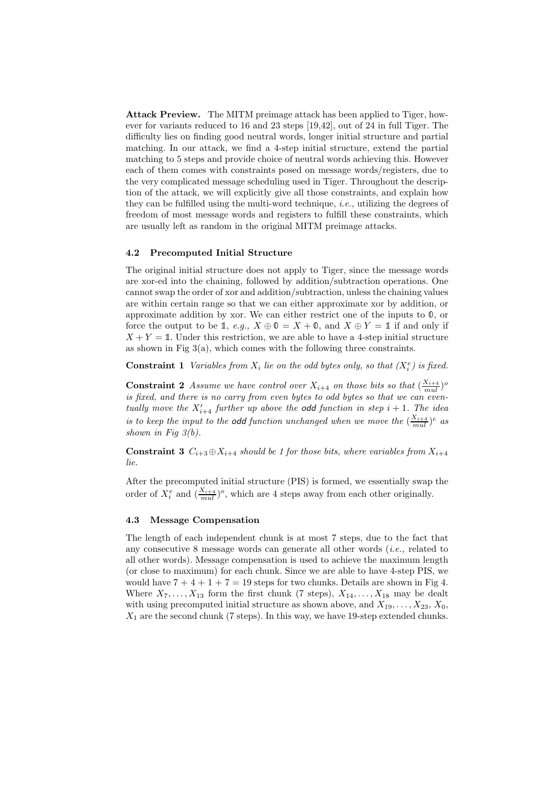Attack Preview. The MITM preimage attack has been applied to Tiger, however for variants reduced to 16 and 23 steps [19,42], out of 24 in full Tiger. The difficulty lies on finding good neutral words, longer initial structure and partial matching. In our attack, we find a 4-step initial structure, extend the partial matching to 5 steps and provide choice of neutral words achieving this. However each of them comes with constraints posed on message words/registers, due to the very complicated message scheduling used in Tiger. Throughout the description of the attack, we will explicitly give all those constraints, and explain how they can be fulfilled using the multi-word technique, i.e., utilizing the degrees of freedom of most message words and registers to fulfill these constraints, which are usually left as random in the original MITM preimage attacks.

#### 4.2 Precomputed Initial Structure

The original initial structure does not apply to Tiger, since the message words are xor-ed into the chaining, followed by addition/subtraction operations. One cannot swap the order of xor and addition/subtraction, unless the chaining values are within certain range so that we can either approximate xor by addition, or approximate addition by xor. We can either restrict one of the inputs to <sup>0</sup>, or force the output to be 1, e.g.,  $X \oplus \mathbb{O} = X + \mathbb{O}$ , and  $X \oplus Y = \mathbb{1}$  if and only if  $X + Y = 1$ . Under this restriction, we are able to have a 4-step initial structure as shown in Fig  $3(a)$ , which comes with the following three constraints.

**Constraint 1** Variables from  $X_i$  lie on the odd bytes only, so that  $(X_i^e)$  is fixed.

**Constraint 2** Assume we have control over  $X_{i+4}$  on those bits so that  $(\frac{X_{i+4}}{mul})^o$ is fixed, and there is no carry from even bytes to odd bytes so that we can eventually move the  $X'_{i+4}$  further up above the **odd** function in step  $i + 1$ . The idea is to keep the input to the **odd** function unchanged when we move the  $(\frac{X_{i+4}}{mul})^e$  as shown in Fig  $3(b)$ .

**Constraint 3**  $C_{i+3} \oplus X_{i+4}$  should be 1 for those bits, where variables from  $X_{i+4}$ lie.

After the precomputed initial structure (PIS) is formed, we essentially swap the order of  $X_i^e$  and  $(\frac{X_{i+4}}{mul})^o$ , which are 4 steps away from each other originally.

#### 4.3 Message Compensation

The length of each independent chunk is at most 7 steps, due to the fact that any consecutive 8 message words can generate all other words (i.e., related to all other words). Message compensation is used to achieve the maximum length (or close to maximum) for each chunk. Since we are able to have 4-step PIS, we would have  $7 + 4 + 1 + 7 = 19$  steps for two chunks. Details are shown in Fig 4. Where  $X_7, \ldots, X_{13}$  form the first chunk (7 steps),  $X_{14}, \ldots, X_{18}$  may be dealt with using precomputed initial structure as shown above, and  $X_{19}, \ldots, X_{23}, X_0$ ,  $X_1$  are the second chunk (7 steps). In this way, we have 19-step extended chunks.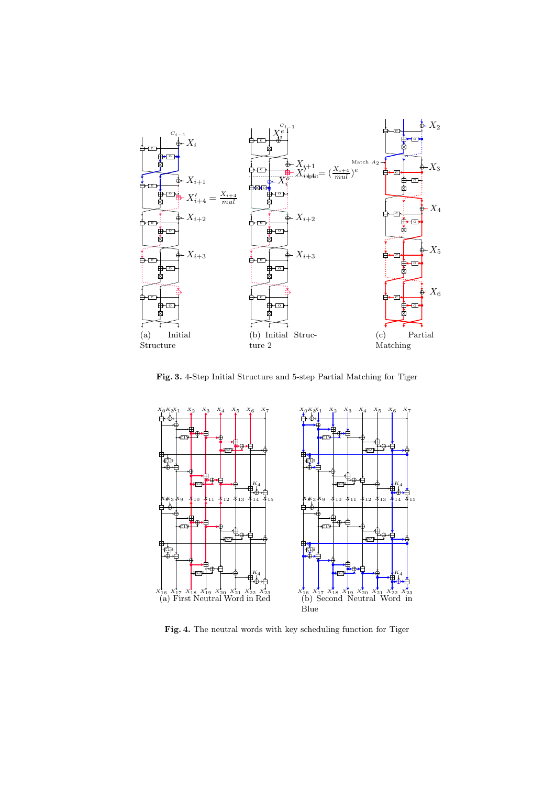

Fig. 3. 4-Step Initial Structure and 5-step Partial Matching for Tiger



Fig. 4. The neutral words with key scheduling function for Tiger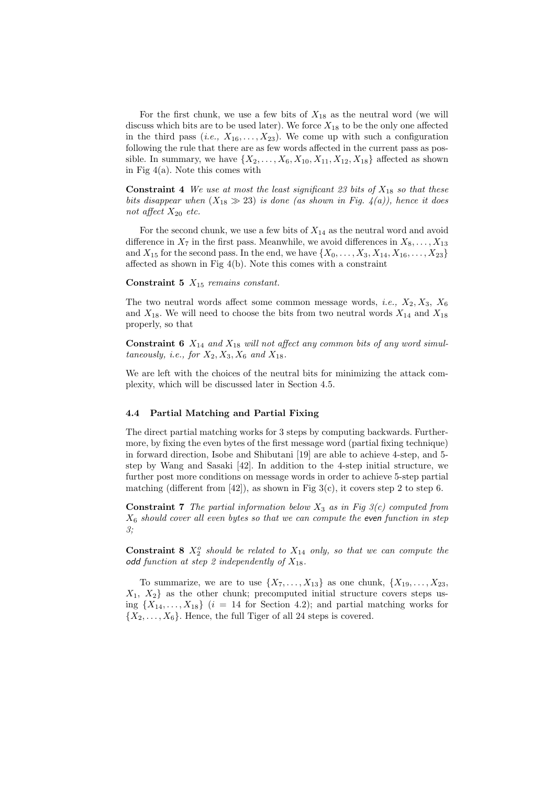For the first chunk, we use a few bits of  $X_{18}$  as the neutral word (we will discuss which bits are to be used later). We force  $X_{18}$  to be the only one affected in the third pass  $(i.e., X_{16},...,X_{23})$ . We come up with such a configuration following the rule that there are as few words affected in the current pass as possible. In summary, we have  $\{X_2, \ldots, X_6, X_{10}, X_{11}, X_{12}, X_{18}\}\$  affected as shown in Fig 4(a). Note this comes with

**Constraint 4** We use at most the least significant 23 bits of  $X_{18}$  so that these bits disappear when  $(X_{18} \gg 23)$  is done (as shown in Fig. 4(a)), hence it does not affect  $X_{20}$  etc.

For the second chunk, we use a few bits of  $X_{14}$  as the neutral word and avoid difference in  $X_7$  in the first pass. Meanwhile, we avoid differences in  $X_8, \ldots, X_{13}$ and  $X_{15}$  for the second pass. In the end, we have  $\{X_0, \ldots, X_3, X_{14}, X_{16}, \ldots, X_{23}\}\$ affected as shown in Fig 4(b). Note this comes with a constraint

#### Constraint 5  $X_{15}$  remains constant.

The two neutral words affect some common message words, *i.e.*,  $X_2, X_3, X_6$ and  $X_{18}$ . We will need to choose the bits from two neutral words  $X_{14}$  and  $X_{18}$ properly, so that

**Constraint 6**  $X_{14}$  and  $X_{18}$  will not affect any common bits of any word simultaneously, i.e., for  $X_2, X_3, X_6$  and  $X_{18}$ .

We are left with the choices of the neutral bits for minimizing the attack complexity, which will be discussed later in Section 4.5.

#### 4.4 Partial Matching and Partial Fixing

The direct partial matching works for 3 steps by computing backwards. Furthermore, by fixing the even bytes of the first message word (partial fixing technique) in forward direction, Isobe and Shibutani [19] are able to achieve 4-step, and 5 step by Wang and Sasaki [42]. In addition to the 4-step initial structure, we further post more conditions on message words in order to achieve 5-step partial matching (different from  $[42]$ ), as shown in Fig 3(c), it covers step 2 to step 6.

**Constraint 7** The partial information below  $X_3$  as in Fig  $3(c)$  computed from  $X<sub>6</sub>$  should cover all even bytes so that we can compute the even function in step 3;

**Constraint 8**  $X_2^o$  should be related to  $X_{14}$  only, so that we can compute the odd function at step 2 independently of  $X_{18}$ .

To summarize, we are to use  $\{X_7, \ldots, X_{13}\}$  as one chunk,  $\{X_{19}, \ldots, X_{23},\}$  $X_1, X_2$  as the other chunk; precomputed initial structure covers steps using  $\{X_{14}, \ldots, X_{18}\}\ (i = 14 \text{ for Section 4.2});$  and partial matching works for  $\{X_2, \ldots, X_6\}$ . Hence, the full Tiger of all 24 steps is covered.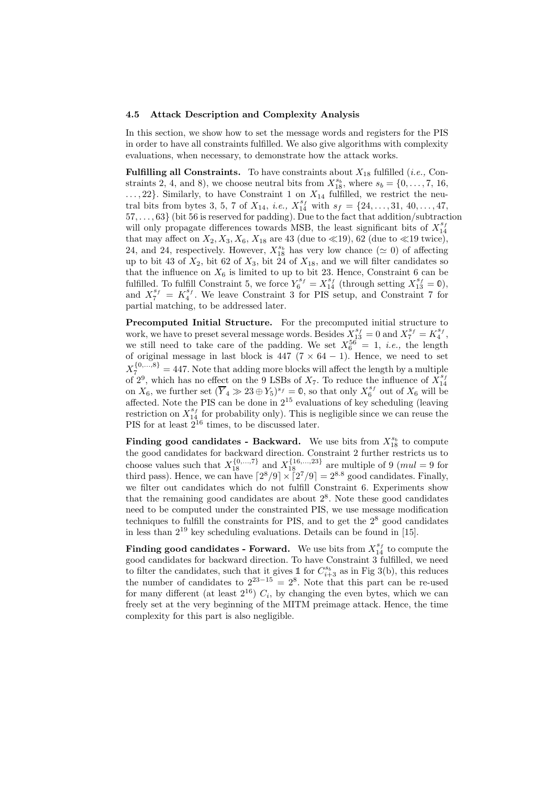#### 4.5 Attack Description and Complexity Analysis

In this section, we show how to set the message words and registers for the PIS in order to have all constraints fulfilled. We also give algorithms with complexity evaluations, when necessary, to demonstrate how the attack works.

**Fulfilling all Constraints.** To have constraints about  $X_{18}$  fulfilled (*i.e.*, Constraints 2, 4, and 8), we choose neutral bits from  $X_{18}^{s_b}$ , where  $s_b = \{0, \ldots, 7, 16, \ldots\}$  $..., 22$ . Similarly, to have Constraint 1 on  $X_{14}$  fulfilled, we restrict the neutral bits from bytes 3, 5, 7 of  $X_{14}$ , *i.e.*,  $X_{14}^{s_f}$  with  $s_f = \{24, \ldots, 31, 40, \ldots, 47,$ 57, . . . , 63} (bit 56 is reserved for padding). Due to the fact that addition/subtraction will only propagate differences towards MSB, the least significant bits of  $X_{14}^{s_f}$ that may affect on  $X_2, X_3, X_6, X_{18}$  are 43 (due to  $\ll$ 19), 62 (due to  $\ll$ 19 twice), 24, and 24, respectively. However,  $X_{18}^{s_b}$  has very low chance ( $\simeq$  0) of affecting up to bit 43 of  $X_2$ , bit 62 of  $X_3$ , bit 24 of  $X_{18}$ , and we will filter candidates so that the influence on  $X_6$  is limited to up to bit 23. Hence, Constraint 6 can be fulfilled. To fulfill Constraint 5, we force  $Y_6^{s_f} = X_{14}^{s_f}$  (through setting  $X_{13}^{s_f} = \emptyset$ ), and  $X_7^{s_f} = K_4^{s_f}$ . We leave Constraint 3 for PIS setup, and Constraint 7 for partial matching, to be addressed later.

Precomputed Initial Structure. For the precomputed initial structure to work, we have to preset several message words. Besides  $X_{13}^{s_f} = 0$  and  $X_7^{s_f} = K_4^{s_f}$ , we still need to take care of the padding. We set  $X_6^{56} = 1$ , *i.e.*, the length of original message in last block is  $447$  ( $7 \times 64 - 1$ ). Hence, we need to set  $X_7^{\{0,\ldots,8\}} = 447$ . Note that adding more blocks will affect the length by a multiple of 2<sup>9</sup>, which has no effect on the 9 LSBs of  $X_7$ . To reduce the influence of  $X_{14}^{s_f}$ on  $X_6$ , we further set  $(\overline{Y}_4 \gg 23 \oplus Y_5)^{s_f} = \mathbb{0}$ , so that only  $X_6^{s_f}$  out of  $X_6$  will be affected. Note the PIS can be done in  $2^{15}$  evaluations of key scheduling (leaving restriction on  $X_{14}^{s_f}$  for probability only). This is negligible since we can reuse the PIS for at least  $2^{16}$  times, to be discussed later.

**Finding good candidates - Backward.** We use bits from  $X_{18}^{s_b}$  to compute the good candidates for backward direction. Constraint 2 further restricts us to choose values such that  $X_{18}^{\{0,\ldots,7\}}$  and  $X_{18}^{\{16,\ldots,23\}}$  are multiple of 9 (*mul* = 9 for third pass). Hence, we can have  $\lceil 2^8/9 \rceil \times \lceil 2^7/9 \rceil = 2^{8.8}$  good candidates. Finally, we filter out candidates which do not fulfill Constraint 6. Experiments show that the remaining good candidates are about  $2<sup>8</sup>$ . Note these good candidates need to be computed under the constrainted PIS, we use message modification techniques to fulfill the constraints for PIS, and to get the  $2<sup>8</sup>$  good candidates in less than  $2^{19}$  key scheduling evaluations. Details can be found in [15].

**Finding good candidates - Forward.** We use bits from  $X_{14}^{s_f}$  to compute the good candidates for backward direction. To have Constraint 3 fulfilled, we need to filter the candidates, such that it gives  $\mathbb{1}$  for  $C_{i+3}^{s_b}$  as in Fig 3(b), this reduces the number of candidates to  $2^{23-15} = 2^8$ . Note that this part can be re-used for many different (at least  $2^{16}$ )  $C_i$ , by changing the even bytes, which we can freely set at the very beginning of the MITM preimage attack. Hence, the time complexity for this part is also negligible.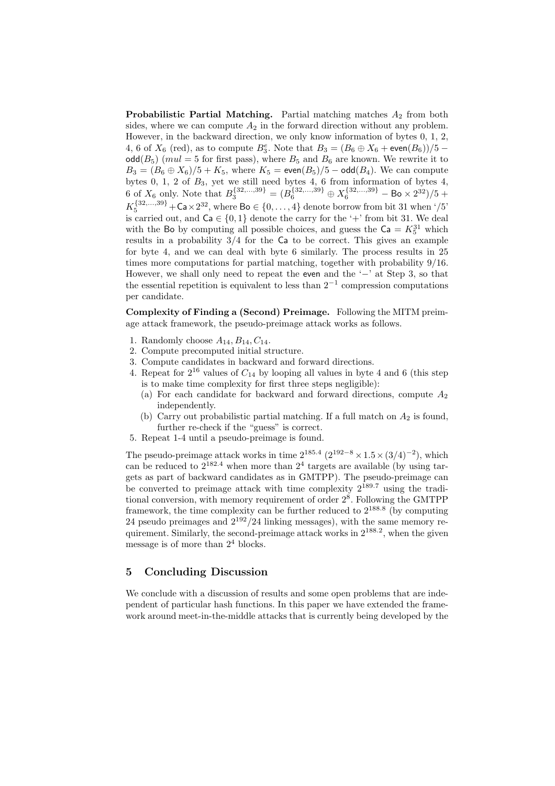**Probabilistic Partial Matching.** Partial matching matches  $A_2$  from both sides, where we can compute  $A_2$  in the forward direction without any problem. However, in the backward direction, we only know information of bytes 0, 1, 2, 4, 6 of  $X_6$  (red), as to compute  $B_3^e$ . Note that  $B_3 = (B_6 \oplus X_6 + \text{even}(B_6))/5 - \text{odd}$  $\text{odd}(B_5)$  (*mul* = 5 for first pass), where  $B_5$  and  $B_6$  are known. We rewrite it to  $B_3 = (B_6 \oplus X_6)/5 + K_5$ , where  $K_5 = \text{even}(B_5)/5 - \text{odd}(B_4)$ . We can compute bytes 0, 1, 2 of  $B_3$ , yet we still need bytes 4, 6 from information of bytes 4, 6 of  $X_6$  only. Note that  $B_3^{\{32,\dots,39\}} = (B_6^{\{32,\dots,39\}} \oplus X_6^{\{32,\dots,39\}} - \text{Bo} \times 2^{32})/5 +$  $K_5^{\{32,\ldots,39\}} + \mathsf{Ca}\times2^{32}$ , where  $\mathsf{Bo}\in\{0,\ldots,4\}$  denote borrow from bit 31 when '/5' is carried out, and  $Ca \in \{0,1\}$  denote the carry for the '+' from bit 31. We deal with the Bo by computing all possible choices, and guess the  $Ca = K_5^{31}$  which results in a probability  $3/4$  for the Ca to be correct. This gives an example for byte 4, and we can deal with byte 6 similarly. The process results in 25 times more computations for partial matching, together with probability 9/16. However, we shall only need to repeat the even and the '−' at Step 3, so that the essential repetition is equivalent to less than  $2^{-1}$  compression computations per candidate.

Complexity of Finding a (Second) Preimage. Following the MITM preimage attack framework, the pseudo-preimage attack works as follows.

- 1. Randomly choose  $A_{14}, B_{14}, C_{14}$ .
- 2. Compute precomputed initial structure.
- 3. Compute candidates in backward and forward directions.
- 4. Repeat for  $2^{16}$  values of  $C_{14}$  by looping all values in byte 4 and 6 (this step is to make time complexity for first three steps negligible):
	- (a) For each candidate for backward and forward directions, compute  $A_2$ independently.
	- (b) Carry out probabilistic partial matching. If a full match on  $A_2$  is found, further re-check if the "guess" is correct.
- 5. Repeat 1-4 until a pseudo-preimage is found.

The pseudo-preimage attack works in time  $2^{185.4}$   $(2^{192-8} \times 1.5 \times (3/4)^{-2})$ , which can be reduced to  $2^{182.4}$  when more than  $2^4$  targets are available (by using targets as part of backward candidates as in GMTPP). The pseudo-preimage can be converted to preimage attack with time complexity  $2^{189.7}$  using the traditional conversion, with memory requirement of order  $2^8$ . Following the GMTPP framework, the time complexity can be further reduced to  $2^{188.8}$  (by computing 24 pseudo preimages and  $2^{192}/24$  linking messages), with the same memory requirement. Similarly, the second-preimage attack works in 2<sup>188</sup>.<sup>2</sup> , when the given message is of more than  $2<sup>4</sup>$  blocks.

# 5 Concluding Discussion

We conclude with a discussion of results and some open problems that are independent of particular hash functions. In this paper we have extended the framework around meet-in-the-middle attacks that is currently being developed by the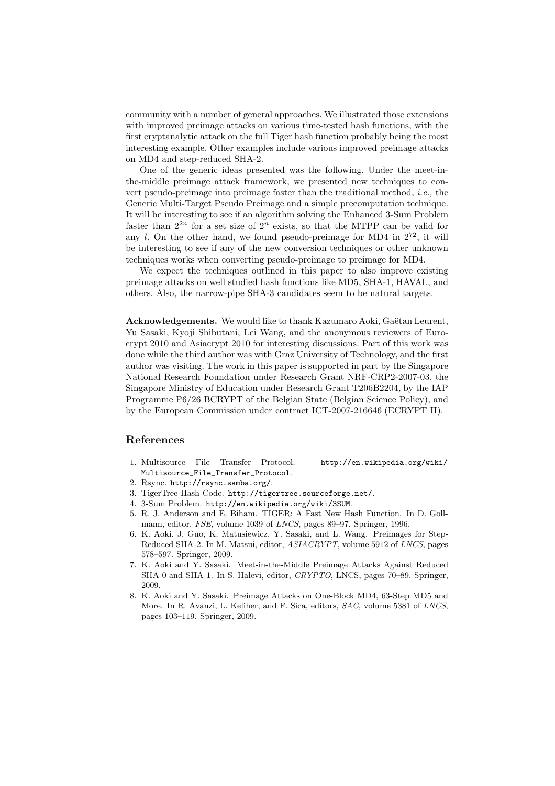community with a number of general approaches. We illustrated those extensions with improved preimage attacks on various time-tested hash functions, with the first cryptanalytic attack on the full Tiger hash function probably being the most interesting example. Other examples include various improved preimage attacks on MD4 and step-reduced SHA-2.

One of the generic ideas presented was the following. Under the meet-inthe-middle preimage attack framework, we presented new techniques to convert pseudo-preimage into preimage faster than the traditional method, i.e., the Generic Multi-Target Pseudo Preimage and a simple precomputation technique. It will be interesting to see if an algorithm solving the Enhanced 3-Sum Problem faster than  $2^{2n}$  for a set size of  $2^n$  exists, so that the MTPP can be valid for any l. On the other hand, we found pseudo-preimage for MD4 in  $2^{72}$ , it will be interesting to see if any of the new conversion techniques or other unknown techniques works when converting pseudo-preimage to preimage for MD4.

We expect the techniques outlined in this paper to also improve existing preimage attacks on well studied hash functions like MD5, SHA-1, HAVAL, and others. Also, the narrow-pipe SHA-3 candidates seem to be natural targets.

Acknowledgements. We would like to thank Kazumaro Aoki, Gaëtan Leurent, Yu Sasaki, Kyoji Shibutani, Lei Wang, and the anonymous reviewers of Eurocrypt 2010 and Asiacrypt 2010 for interesting discussions. Part of this work was done while the third author was with Graz University of Technology, and the first author was visiting. The work in this paper is supported in part by the Singapore National Research Foundation under Research Grant NRF-CRP2-2007-03, the Singapore Ministry of Education under Research Grant T206B2204, by the IAP Programme P6/26 BCRYPT of the Belgian State (Belgian Science Policy), and by the European Commission under contract ICT-2007-216646 (ECRYPT II).

# References

- 1. Multisource File Transfer Protocol. http://en.wikipedia.org/wiki/ Multisource\_File\_Transfer\_Protocol.
- 2. Rsync. http://rsync.samba.org/.
- 3. TigerTree Hash Code. http://tigertree.sourceforge.net/.
- 4. 3-Sum Problem. http://en.wikipedia.org/wiki/3SUM.
- 5. R. J. Anderson and E. Biham. TIGER: A Fast New Hash Function. In D. Gollmann, editor, FSE, volume 1039 of LNCS, pages 89–97. Springer, 1996.
- 6. K. Aoki, J. Guo, K. Matusiewicz, Y. Sasaki, and L. Wang. Preimages for Step-Reduced SHA-2. In M. Matsui, editor, ASIACRYPT, volume 5912 of LNCS, pages 578–597. Springer, 2009.
- 7. K. Aoki and Y. Sasaki. Meet-in-the-Middle Preimage Attacks Against Reduced SHA-0 and SHA-1. In S. Halevi, editor, CRYPTO, LNCS, pages 70–89. Springer, 2009.
- 8. K. Aoki and Y. Sasaki. Preimage Attacks on One-Block MD4, 63-Step MD5 and More. In R. Avanzi, L. Keliher, and F. Sica, editors, SAC, volume 5381 of LNCS, pages 103–119. Springer, 2009.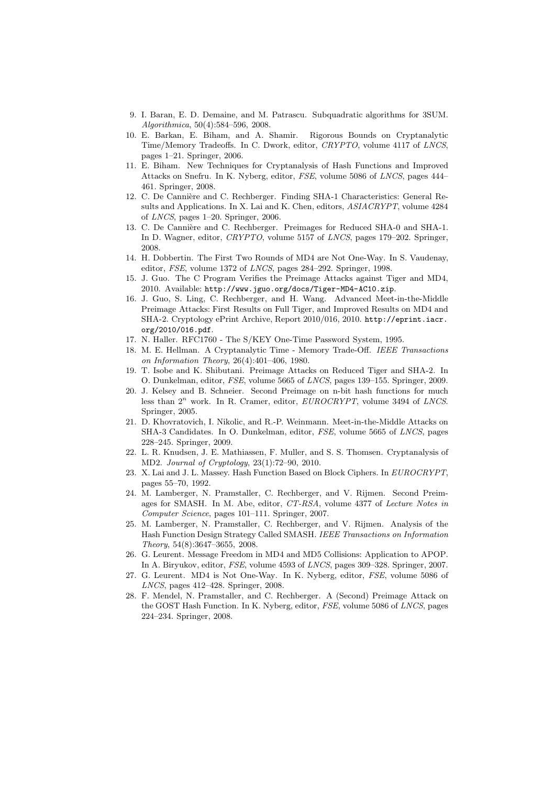- 9. I. Baran, E. D. Demaine, and M. Patrascu. Subquadratic algorithms for 3SUM. Algorithmica, 50(4):584–596, 2008.
- 10. E. Barkan, E. Biham, and A. Shamir. Rigorous Bounds on Cryptanalytic Time/Memory Tradeoffs. In C. Dwork, editor, CRYPTO, volume 4117 of LNCS, pages 1–21. Springer, 2006.
- 11. E. Biham. New Techniques for Cryptanalysis of Hash Functions and Improved Attacks on Snefru. In K. Nyberg, editor, FSE, volume 5086 of LNCS, pages 444– 461. Springer, 2008.
- 12. C. De Cannière and C. Rechberger. Finding SHA-1 Characteristics: General Results and Applications. In X. Lai and K. Chen, editors, ASIACRYPT, volume 4284 of LNCS, pages 1–20. Springer, 2006.
- 13. C. De Cannière and C. Rechberger. Preimages for Reduced SHA-0 and SHA-1. In D. Wagner, editor, CRYPTO, volume 5157 of LNCS, pages 179–202. Springer, 2008.
- 14. H. Dobbertin. The First Two Rounds of MD4 are Not One-Way. In S. Vaudenay, editor, FSE, volume 1372 of LNCS, pages 284–292. Springer, 1998.
- 15. J. Guo. The C Program Verifies the Preimage Attacks against Tiger and MD4, 2010. Available: http://www.jguo.org/docs/Tiger-MD4-AC10.zip.
- 16. J. Guo, S. Ling, C. Rechberger, and H. Wang. Advanced Meet-in-the-Middle Preimage Attacks: First Results on Full Tiger, and Improved Results on MD4 and SHA-2. Cryptology ePrint Archive, Report 2010/016, 2010. http://eprint.iacr. org/2010/016.pdf.
- 17. N. Haller. RFC1760 The S/KEY One-Time Password System, 1995.
- 18. M. E. Hellman. A Cryptanalytic Time Memory Trade-Off. IEEE Transactions on Information Theory, 26(4):401–406, 1980.
- 19. T. Isobe and K. Shibutani. Preimage Attacks on Reduced Tiger and SHA-2. In O. Dunkelman, editor, FSE, volume 5665 of LNCS, pages 139–155. Springer, 2009.
- 20. J. Kelsey and B. Schneier. Second Preimage on n-bit hash functions for much less than  $2^n$  work. In R. Cramer, editor,  $EUROCRYPT$ , volume 3494 of LNCS. Springer, 2005.
- 21. D. Khovratovich, I. Nikolic, and R.-P. Weinmann. Meet-in-the-Middle Attacks on SHA-3 Candidates. In O. Dunkelman, editor, FSE, volume 5665 of LNCS, pages 228–245. Springer, 2009.
- 22. L. R. Knudsen, J. E. Mathiassen, F. Muller, and S. S. Thomsen. Cryptanalysis of MD2. Journal of Cryptology, 23(1):72–90, 2010.
- 23. X. Lai and J. L. Massey. Hash Function Based on Block Ciphers. In EUROCRYPT, pages 55–70, 1992.
- 24. M. Lamberger, N. Pramstaller, C. Rechberger, and V. Rijmen. Second Preimages for SMASH. In M. Abe, editor, CT-RSA, volume 4377 of Lecture Notes in Computer Science, pages 101–111. Springer, 2007.
- 25. M. Lamberger, N. Pramstaller, C. Rechberger, and V. Rijmen. Analysis of the Hash Function Design Strategy Called SMASH. IEEE Transactions on Information Theory, 54(8):3647–3655, 2008.
- 26. G. Leurent. Message Freedom in MD4 and MD5 Collisions: Application to APOP. In A. Biryukov, editor, FSE, volume 4593 of LNCS, pages 309–328. Springer, 2007.
- 27. G. Leurent. MD4 is Not One-Way. In K. Nyberg, editor, FSE, volume 5086 of LNCS, pages 412–428. Springer, 2008.
- 28. F. Mendel, N. Pramstaller, and C. Rechberger. A (Second) Preimage Attack on the GOST Hash Function. In K. Nyberg, editor, FSE, volume 5086 of LNCS, pages 224–234. Springer, 2008.